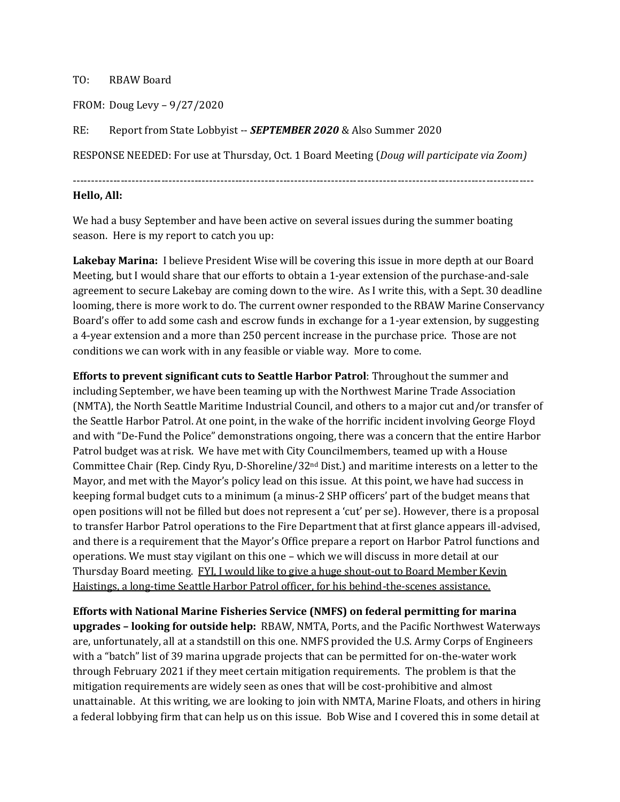## TO: RBAW Board

FROM: Doug Levy – 9/27/2020

RE: Report from State Lobbyist -- *SEPTEMBER 2020* & Also Summer 2020

RESPONSE NEEDED: For use at Thursday, Oct. 1 Board Meeting (*Doug will participate via Zoom)*

-----------------------------------------------------------------------------------------------------------------------------

## **Hello, All:**

We had a busy September and have been active on several issues during the summer boating season. Here is my report to catch you up:

**Lakebay Marina:** I believe President Wise will be covering this issue in more depth at our Board Meeting, but I would share that our efforts to obtain a 1-year extension of the purchase-and-sale agreement to secure Lakebay are coming down to the wire. As I write this, with a Sept. 30 deadline looming, there is more work to do. The current owner responded to the RBAW Marine Conservancy Board's offer to add some cash and escrow funds in exchange for a 1-year extension, by suggesting a 4-year extension and a more than 250 percent increase in the purchase price. Those are not conditions we can work with in any feasible or viable way. More to come.

**Efforts to prevent significant cuts to Seattle Harbor Patrol**: Throughout the summer and including September, we have been teaming up with the Northwest Marine Trade Association (NMTA), the North Seattle Maritime Industrial Council, and others to a major cut and/or transfer of the Seattle Harbor Patrol. At one point, in the wake of the horrific incident involving George Floyd and with "De-Fund the Police" demonstrations ongoing, there was a concern that the entire Harbor Patrol budget was at risk. We have met with City Councilmembers, teamed up with a House Committee Chair (Rep. Cindy Ryu, D-Shoreline/32nd Dist.) and maritime interests on a letter to the Mayor, and met with the Mayor's policy lead on this issue. At this point, we have had success in keeping formal budget cuts to a minimum (a minus-2 SHP officers' part of the budget means that open positions will not be filled but does not represent a 'cut' per se). However, there is a proposal to transfer Harbor Patrol operations to the Fire Department that at first glance appears ill-advised, and there is a requirement that the Mayor's Office prepare a report on Harbor Patrol functions and operations. We must stay vigilant on this one – which we will discuss in more detail at our Thursday Board meeting. FYI, I would like to give a huge shout-out to Board Member Kevin Haistings, a long-time Seattle Harbor Patrol officer, for his behind-the-scenes assistance.

**Efforts with National Marine Fisheries Service (NMFS) on federal permitting for marina upgrades – looking for outside help:** RBAW, NMTA, Ports, and the Pacific Northwest Waterways are, unfortunately, all at a standstill on this one. NMFS provided the U.S. Army Corps of Engineers with a "batch" list of 39 marina upgrade projects that can be permitted for on-the-water work through February 2021 if they meet certain mitigation requirements. The problem is that the mitigation requirements are widely seen as ones that will be cost-prohibitive and almost unattainable. At this writing, we are looking to join with NMTA, Marine Floats, and others in hiring a federal lobbying firm that can help us on this issue. Bob Wise and I covered this in some detail at